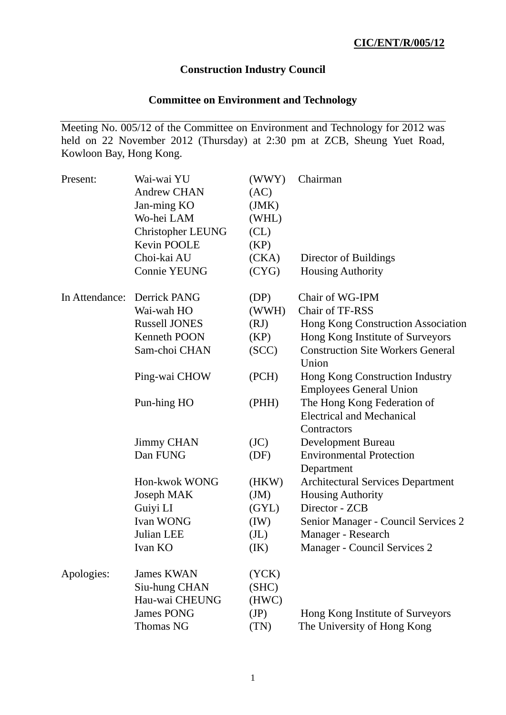# **Construction Industry Council**

# **Committee on Environment and Technology**

Meeting No. 005/12 of the Committee on Environment and Technology for 2012 was held on 22 November 2012 (Thursday) at 2:30 pm at ZCB, Sheung Yuet Road, Kowloon Bay, Hong Kong.

| Present:       | Wai-wai YU               | (WWY)             | Chairman                                                                       |
|----------------|--------------------------|-------------------|--------------------------------------------------------------------------------|
|                | <b>Andrew CHAN</b>       | (AC)              |                                                                                |
|                | Jan-ming KO              | (JMK)             |                                                                                |
|                | Wo-hei LAM               | (WHL)             |                                                                                |
|                | <b>Christopher LEUNG</b> | CL)               |                                                                                |
|                | Kevin POOLE              | (KP)              |                                                                                |
|                | Choi-kai AU              | (CKA)             | Director of Buildings                                                          |
|                | <b>Connie YEUNG</b>      | (CYG)             | <b>Housing Authority</b>                                                       |
| In Attendance: | Derrick PANG             | (DP)              | Chair of WG-IPM                                                                |
|                | Wai-wah HO               | (WWH)             | Chair of TF-RSS                                                                |
|                | <b>Russell JONES</b>     | (RJ)              | Hong Kong Construction Association                                             |
|                | <b>Kenneth POON</b>      | (KP)              | Hong Kong Institute of Surveyors                                               |
|                | Sam-choi CHAN            | (SCC)             | <b>Construction Site Workers General</b><br>Union                              |
|                | Ping-wai CHOW            | (PCH)             | Hong Kong Construction Industry<br><b>Employees General Union</b>              |
|                | Pun-hing HO              | (PHH)             | The Hong Kong Federation of<br><b>Electrical and Mechanical</b><br>Contractors |
|                | <b>Jimmy CHAN</b>        | (JC)              | <b>Development Bureau</b>                                                      |
|                | Dan FUNG                 | (DF)              | <b>Environmental Protection</b><br>Department                                  |
|                | Hon-kwok WONG            | (HKW)             | <b>Architectural Services Department</b>                                       |
|                | Joseph MAK               | J(M)              | <b>Housing Authority</b>                                                       |
|                | Guiyi LI                 | (GYL)             | Director - ZCB                                                                 |
|                | Ivan WONG                | (IW)              | Senior Manager - Council Services 2                                            |
|                | Julian LEE               | (J <sub>L</sub> ) | Manager - Research                                                             |
|                | Ivan KO                  | (IK)              | Manager - Council Services 2                                                   |
| Apologies:     | <b>James KWAN</b>        | (YCK)             |                                                                                |
|                | Siu-hung CHAN            | (SHC)             |                                                                                |
|                | Hau-wai CHEUNG           | (HWC)             |                                                                                |
|                | <b>James PONG</b>        | (JP)              | Hong Kong Institute of Surveyors                                               |
|                | <b>Thomas NG</b>         | (TN)              | The University of Hong Kong                                                    |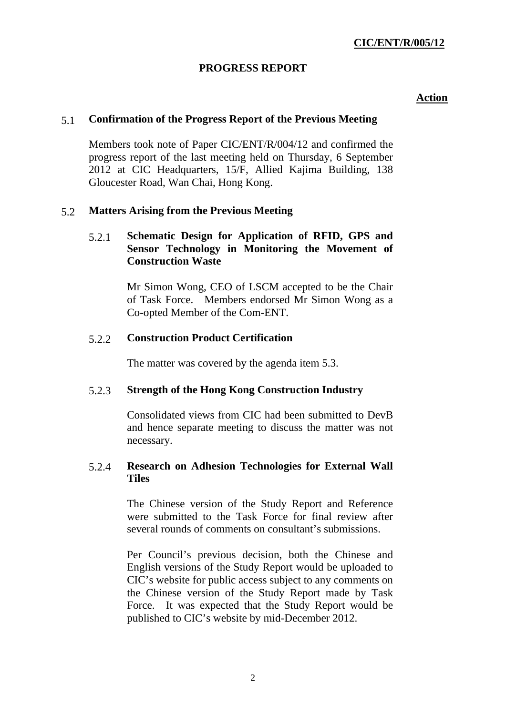# **PROGRESS REPORT**

## **Action**

## 5.1 **Confirmation of the Progress Report of the Previous Meeting**

Members took note of Paper CIC/ENT/R/004/12 and confirmed the progress report of the last meeting held on Thursday, 6 September 2012 at CIC Headquarters, 15/F, Allied Kajima Building, 138 Gloucester Road, Wan Chai, Hong Kong.

# 5.2 **Matters Arising from the Previous Meeting**

# 5.2.1 **Schematic Design for Application of RFID, GPS and Sensor Technology in Monitoring the Movement of Construction Waste**

Mr Simon Wong, CEO of LSCM accepted to be the Chair of Task Force. Members endorsed Mr Simon Wong as a Co-opted Member of the Com-ENT.

# 5.2.2 **Construction Product Certification**

The matter was covered by the agenda item 5.3.

## 5.2.3 **Strength of the Hong Kong Construction Industry**

Consolidated views from CIC had been submitted to DevB and hence separate meeting to discuss the matter was not necessary.

## 5.2.4 **Research on Adhesion Technologies for External Wall Tiles**

The Chinese version of the Study Report and Reference were submitted to the Task Force for final review after several rounds of comments on consultant's submissions.

Per Council's previous decision, both the Chinese and English versions of the Study Report would be uploaded to CIC's website for public access subject to any comments on the Chinese version of the Study Report made by Task Force. It was expected that the Study Report would be published to CIC's website by mid-December 2012.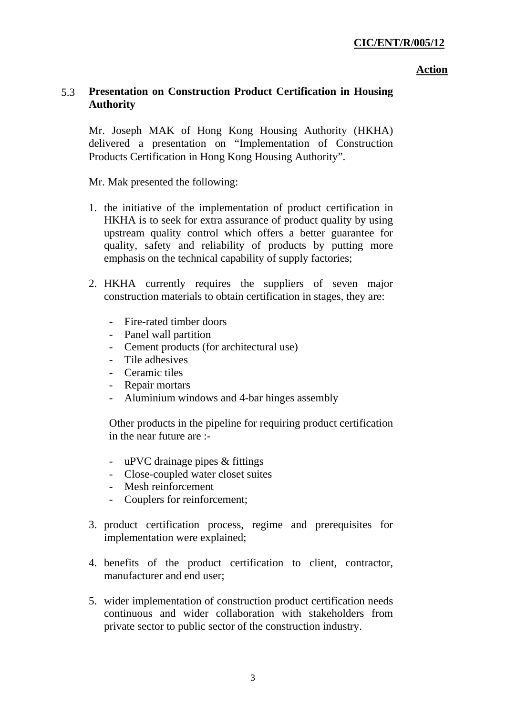#### **Action**

# 5.3 **Presentation on Construction Product Certification in Housing Authority**

Mr. Joseph MAK of Hong Kong Housing Authority (HKHA) delivered a presentation on "Implementation of Construction Products Certification in Hong Kong Housing Authority".

Mr. Mak presented the following:

- 1. the initiative of the implementation of product certification in HKHA is to seek for extra assurance of product quality by using upstream quality control which offers a better guarantee for quality, safety and reliability of products by putting more emphasis on the technical capability of supply factories;
- 2. HKHA currently requires the suppliers of seven major construction materials to obtain certification in stages, they are:
	- Fire-rated timber doors
	- Panel wall partition
	- Cement products (for architectural use)
	- Tile adhesives
	- Ceramic tiles
	- Repair mortars
	- Aluminium windows and 4-bar hinges assembly

Other products in the pipeline for requiring product certification in the near future are :-

- uPVC drainage pipes & fittings
- Close-coupled water closet suites
- Mesh reinforcement
- Couplers for reinforcement;
- 3. product certification process, regime and prerequisites for implementation were explained;
- 4. benefits of the product certification to client, contractor, manufacturer and end user;
- 5. wider implementation of construction product certification needs continuous and wider collaboration with stakeholders from private sector to public sector of the construction industry.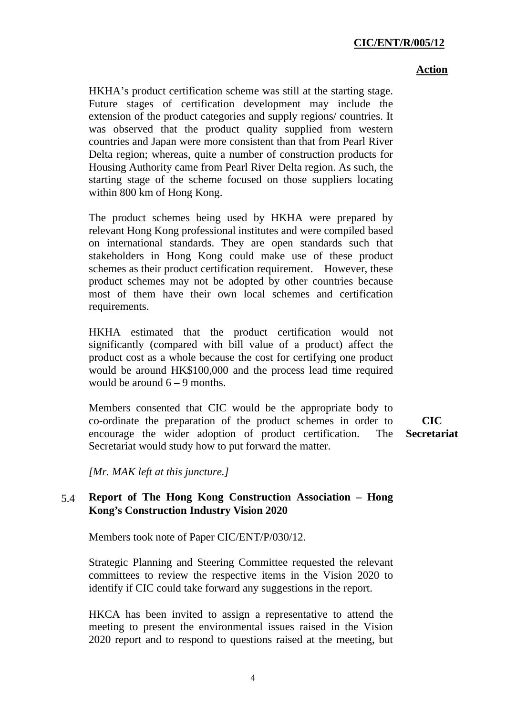#### **Action**

HKHA's product certification scheme was still at the starting stage. Future stages of certification development may include the extension of the product categories and supply regions/ countries. It was observed that the product quality supplied from western countries and Japan were more consistent than that from Pearl River Delta region; whereas, quite a number of construction products for Housing Authority came from Pearl River Delta region. As such, the starting stage of the scheme focused on those suppliers locating within 800 km of Hong Kong.

The product schemes being used by HKHA were prepared by relevant Hong Kong professional institutes and were compiled based on international standards. They are open standards such that stakeholders in Hong Kong could make use of these product schemes as their product certification requirement. However, these product schemes may not be adopted by other countries because most of them have their own local schemes and certification requirements.

HKHA estimated that the product certification would not significantly (compared with bill value of a product) affect the product cost as a whole because the cost for certifying one product would be around HK\$100,000 and the process lead time required would be around  $6 - 9$  months.

Members consented that CIC would be the appropriate body to co-ordinate the preparation of the product schemes in order to encourage the wider adoption of product certification. The Secretariat would study how to put forward the matter.

**CIC Secretariat** 

*[Mr. MAK left at this juncture.]* 

# 5.4 **Report of The Hong Kong Construction Association – Hong Kong's Construction Industry Vision 2020**

Members took note of Paper CIC/ENT/P/030/12.

Strategic Planning and Steering Committee requested the relevant committees to review the respective items in the Vision 2020 to identify if CIC could take forward any suggestions in the report.

HKCA has been invited to assign a representative to attend the meeting to present the environmental issues raised in the Vision 2020 report and to respond to questions raised at the meeting, but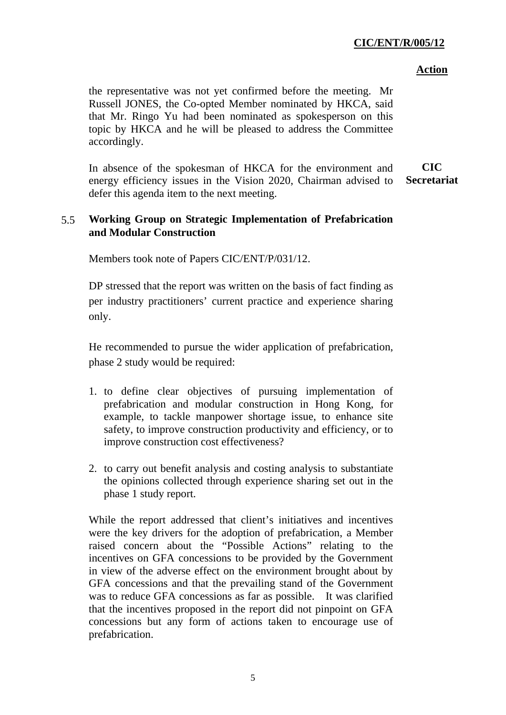#### **Action**

the representative was not yet confirmed before the meeting. Mr Russell JONES, the Co-opted Member nominated by HKCA, said that Mr. Ringo Yu had been nominated as spokesperson on this topic by HKCA and he will be pleased to address the Committee accordingly.

In absence of the spokesman of HKCA for the environment and energy efficiency issues in the Vision 2020, Chairman advised to defer this agenda item to the next meeting. **CIC Secretariat**

# 5.5 **Working Group on Strategic Implementation of Prefabrication and Modular Construction**

Members took note of Papers CIC/ENT/P/031/12.

DP stressed that the report was written on the basis of fact finding as per industry practitioners' current practice and experience sharing only.

He recommended to pursue the wider application of prefabrication, phase 2 study would be required:

- 1. to define clear objectives of pursuing implementation of prefabrication and modular construction in Hong Kong, for example, to tackle manpower shortage issue, to enhance site safety, to improve construction productivity and efficiency, or to improve construction cost effectiveness?
- 2. to carry out benefit analysis and costing analysis to substantiate the opinions collected through experience sharing set out in the phase 1 study report.

While the report addressed that client's initiatives and incentives were the key drivers for the adoption of prefabrication, a Member raised concern about the "Possible Actions" relating to the incentives on GFA concessions to be provided by the Government in view of the adverse effect on the environment brought about by GFA concessions and that the prevailing stand of the Government was to reduce GFA concessions as far as possible. It was clarified that the incentives proposed in the report did not pinpoint on GFA concessions but any form of actions taken to encourage use of prefabrication.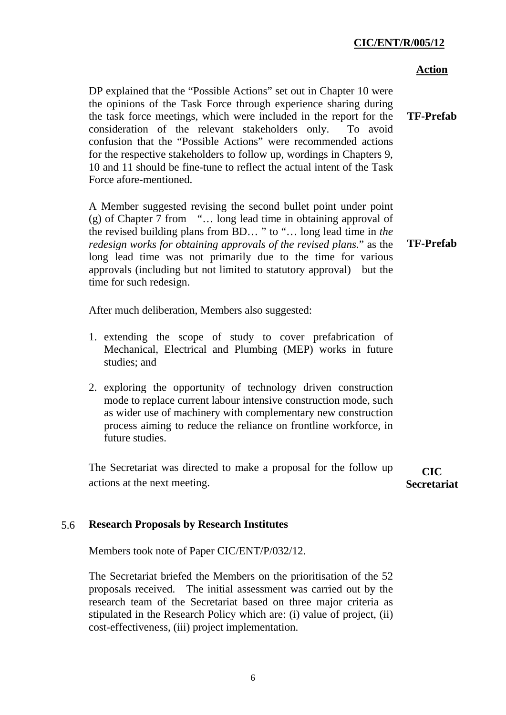#### **Action**

DP explained that the "Possible Actions" set out in Chapter 10 were the opinions of the Task Force through experience sharing during the task force meetings, which were included in the report for the consideration of the relevant stakeholders only. To avoid confusion that the "Possible Actions" were recommended actions for the respective stakeholders to follow up, wordings in Chapters 9, 10 and 11 should be fine-tune to reflect the actual intent of the Task Force afore-mentioned. **TF-Prefab** 

A Member suggested revising the second bullet point under point (g) of Chapter 7 from "… long lead time in obtaining approval of the revised building plans from BD… " to "… long lead time in *the redesign works for obtaining approvals of the revised plans.*" as the long lead time was not primarily due to the time for various approvals (including but not limited to statutory approval) but the time for such redesign.

After much deliberation, Members also suggested:

- 1. extending the scope of study to cover prefabrication of Mechanical, Electrical and Plumbing (MEP) works in future studies; and
- 2. exploring the opportunity of technology driven construction mode to replace current labour intensive construction mode, such as wider use of machinery with complementary new construction process aiming to reduce the reliance on frontline workforce, in future studies.

The Secretariat was directed to make a proposal for the follow up actions at the next meeting. **CIC Secretariat** 

# 5.6 **Research Proposals by Research Institutes**

Members took note of Paper CIC/ENT/P/032/12.

The Secretariat briefed the Members on the prioritisation of the 52 proposals received. The initial assessment was carried out by the research team of the Secretariat based on three major criteria as stipulated in the Research Policy which are: (i) value of project, (ii) cost-effectiveness, (iii) project implementation.

**TF-Prefab**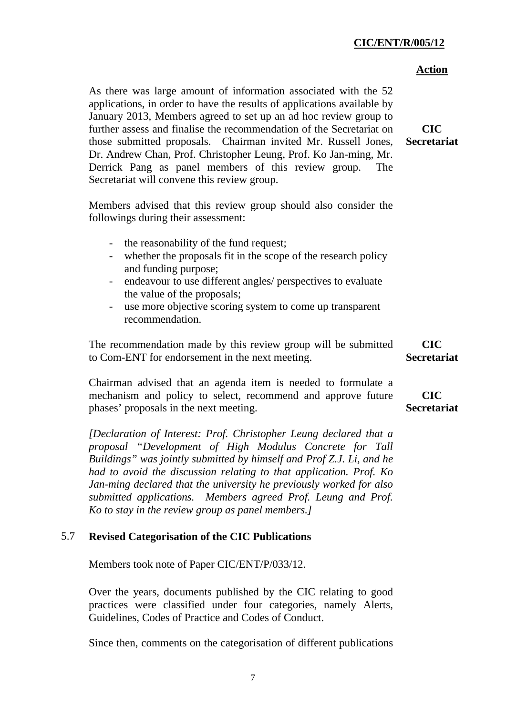|                                                                                                                                                                                                                                                                                                                                                                                                                                                                                                                                           | <b>Action</b>                    |
|-------------------------------------------------------------------------------------------------------------------------------------------------------------------------------------------------------------------------------------------------------------------------------------------------------------------------------------------------------------------------------------------------------------------------------------------------------------------------------------------------------------------------------------------|----------------------------------|
| As there was large amount of information associated with the 52<br>applications, in order to have the results of applications available by<br>January 2013, Members agreed to set up an ad hoc review group to<br>further assess and finalise the recommendation of the Secretariat on<br>those submitted proposals. Chairman invited Mr. Russell Jones,<br>Dr. Andrew Chan, Prof. Christopher Leung, Prof. Ko Jan-ming, Mr.<br>Derrick Pang as panel members of this review group.<br>The<br>Secretariat will convene this review group. | <b>CIC</b><br><b>Secretariat</b> |
| Members advised that this review group should also consider the<br>followings during their assessment:                                                                                                                                                                                                                                                                                                                                                                                                                                    |                                  |
| the reasonability of the fund request;<br>$\blacksquare$<br>whether the proposals fit in the scope of the research policy<br>and funding purpose;<br>endeavour to use different angles/ perspectives to evaluate<br>$\overline{\phantom{0}}$<br>the value of the proposals;<br>use more objective scoring system to come up transparent<br>$\overline{\phantom{a}}$<br>recommendation.                                                                                                                                                    |                                  |
| The recommendation made by this review group will be submitted<br>to Com-ENT for endorsement in the next meeting.                                                                                                                                                                                                                                                                                                                                                                                                                         | <b>CIC</b><br><b>Secretariat</b> |
| Chairman advised that an agenda item is needed to formulate a<br>mechanism and policy to select, recommend and approve future<br>phases' proposals in the next meeting.                                                                                                                                                                                                                                                                                                                                                                   | <b>CIC</b><br><b>Secretariat</b> |
| [Declaration of Interest: Prof. Christopher Leung declared that a<br>proposal "Development of High Modulus Concrete for Tall<br>Buildings" was jointly submitted by himself and Prof Z.J. Li, and he<br>had to avoid the discussion relating to that application. Prof. Ko                                                                                                                                                                                                                                                                |                                  |

*submitted applications. Members agreed Prof. Leung and Prof. Ko to stay in the review group as panel members.]* 

# 5.7 **Revised Categorisation of the CIC Publications**

Members took note of Paper CIC/ENT/P/033/12.

Over the years, documents published by the CIC relating to good practices were classified under four categories, namely Alerts, Guidelines, Codes of Practice and Codes of Conduct.

*Jan-ming declared that the university he previously worked for also* 

Since then, comments on the categorisation of different publications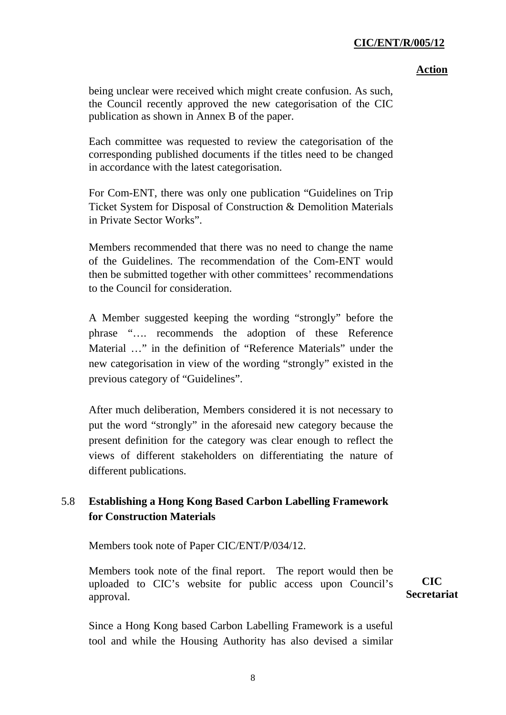#### **Action**

being unclear were received which might create confusion. As such, the Council recently approved the new categorisation of the CIC publication as shown in Annex B of the paper.

Each committee was requested to review the categorisation of the corresponding published documents if the titles need to be changed in accordance with the latest categorisation.

For Com-ENT, there was only one publication ["Guidelines on Trip](http://www.hkcic.org/WorkArea/linkit.aspx?LinkIdentifier=id&ItemID=8317&libID=8376)  [Ticket System for Disposal of Construction & Demolition Materials](http://www.hkcic.org/WorkArea/linkit.aspx?LinkIdentifier=id&ItemID=8317&libID=8376)  [in Private Sector Works".](http://www.hkcic.org/WorkArea/linkit.aspx?LinkIdentifier=id&ItemID=8317&libID=8376)

Members recommended that there was no need to change the name of the Guidelines. The recommendation of the Com-ENT would then be submitted together with other committees' recommendations to the Council for consideration.

A Member suggested keeping the wording "strongly" before the phrase "…. recommends the adoption of these Reference Material …" in the definition of "Reference Materials" under the new categorisation in view of the wording "strongly" existed in the previous category of "Guidelines".

After much deliberation, Members considered it is not necessary to put the word "strongly" in the aforesaid new category because the present definition for the category was clear enough to reflect the views of different stakeholders on differentiating the nature of different publications.

# 5.8 **Establishing a Hong Kong Based Carbon Labelling Framework for Construction Materials**

Members took note of Paper CIC/ENT/P/034/12.

Members took note of the final report. The report would then be uploaded to CIC's website for public access upon Council's approval.

**CIC Secretariat** 

Since a Hong Kong based Carbon Labelling Framework is a useful tool and while the Housing Authority has also devised a similar